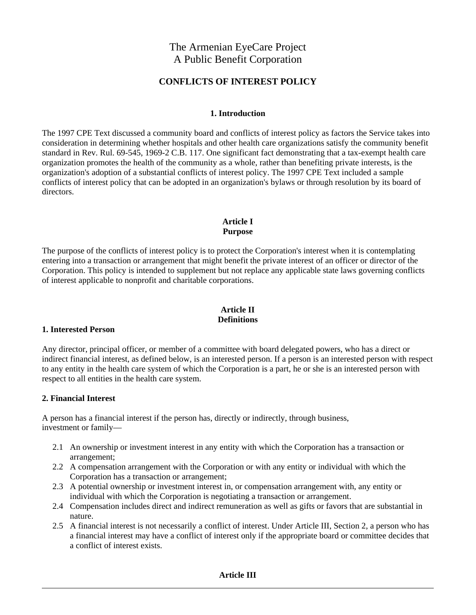# The Armenian EyeCare Project A Public Benefit Corporation

## **CONFLICTS OF INTEREST POLICY**

#### **1. Introduction**

The 1997 CPE Text discussed a community board and conflicts of interest policy as factors the Service takes into consideration in determining whether hospitals and other health care organizations satisfy the community benefit standard in Rev. Rul. 69-545, 1969-2 C.B. 117. One significant fact demonstrating that a tax-exempt health care organization promotes the health of the community as a whole, rather than benefiting private interests, is the organization's adoption of a substantial conflicts of interest policy. The 1997 CPE Text included a sample conflicts of interest policy that can be adopted in an organization's bylaws or through resolution by its board of directors.

#### **Article I Purpose**

The purpose of the conflicts of interest policy is to protect the Corporation's interest when it is contemplating entering into a transaction or arrangement that might benefit the private interest of an officer or director of the Corporation. This policy is intended to supplement but not replace any applicable state laws governing conflicts of interest applicable to nonprofit and charitable corporations.

### **Article II Definitions**

#### **1. Interested Person**

Any director, principal officer, or member of a committee with board delegated powers, who has a direct or indirect financial interest, as defined below, is an interested person. If a person is an interested person with respect to any entity in the health care system of which the Corporation is a part, he or she is an interested person with respect to all entities in the health care system.

#### **2. Financial Interest**

A person has a financial interest if the person has, directly or indirectly, through business, investment or family—

- 2.1 An ownership or investment interest in any entity with which the Corporation has a transaction or arrangement;
- 2.2 A compensation arrangement with the Corporation or with any entity or individual with which the Corporation has a transaction or arrangement;
- 2.3 A potential ownership or investment interest in, or compensation arrangement with, any entity or individual with which the Corporation is negotiating a transaction or arrangement.
- 2.4 Compensation includes direct and indirect remuneration as well as gifts or favors that are substantial in nature.
- 2.5 A financial interest is not necessarily a conflict of interest. Under Article III, Section 2, a person who has a financial interest may have a conflict of interest only if the appropriate board or committee decides that a conflict of interest exists.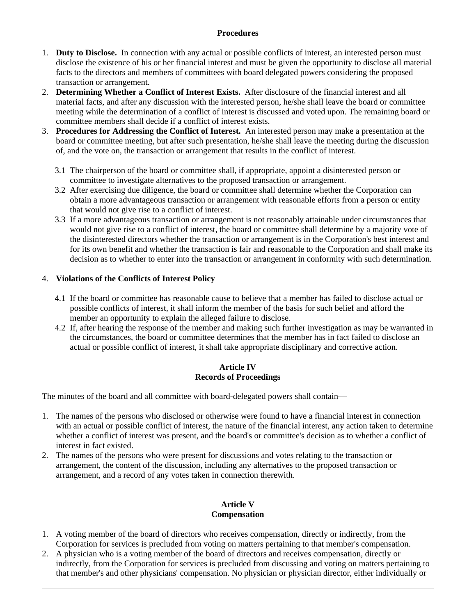#### **Procedures**

- 1. **Duty to Disclose.** In connection with any actual or possible conflicts of interest, an interested person must disclose the existence of his or her financial interest and must be given the opportunity to disclose all material facts to the directors and members of committees with board delegated powers considering the proposed transaction or arrangement.
- 2. **Determining Whether a Conflict of Interest Exists.** After disclosure of the financial interest and all material facts, and after any discussion with the interested person, he/she shall leave the board or committee meeting while the determination of a conflict of interest is discussed and voted upon. The remaining board or committee members shall decide if a conflict of interest exists.
- 3. **Procedures for Addressing the Conflict of Interest.** An interested person may make a presentation at the board or committee meeting, but after such presentation, he/she shall leave the meeting during the discussion of, and the vote on, the transaction or arrangement that results in the conflict of interest.
	- 3.1 The chairperson of the board or committee shall, if appropriate, appoint a disinterested person or committee to investigate alternatives to the proposed transaction or arrangement.
	- 3.2 After exercising due diligence, the board or committee shall determine whether the Corporation can obtain a more advantageous transaction or arrangement with reasonable efforts from a person or entity that would not give rise to a conflict of interest.
	- 3.3 If a more advantageous transaction or arrangement is not reasonably attainable under circumstances that would not give rise to a conflict of interest, the board or committee shall determine by a majority vote of the disinterested directors whether the transaction or arrangement is in the Corporation's best interest and for its own benefit and whether the transaction is fair and reasonable to the Corporation and shall make its decision as to whether to enter into the transaction or arrangement in conformity with such determination.

### 4. **Violations of the Conflicts of Interest Policy**

- 4.1 If the board or committee has reasonable cause to believe that a member has failed to disclose actual or possible conflicts of interest, it shall inform the member of the basis for such belief and afford the member an opportunity to explain the alleged failure to disclose.
- 4.2 If, after hearing the response of the member and making such further investigation as may be warranted in the circumstances, the board or committee determines that the member has in fact failed to disclose an actual or possible conflict of interest, it shall take appropriate disciplinary and corrective action.

#### **Article IV Records of Proceedings**

The minutes of the board and all committee with board-delegated powers shall contain—

- 1. The names of the persons who disclosed or otherwise were found to have a financial interest in connection with an actual or possible conflict of interest, the nature of the financial interest, any action taken to determine whether a conflict of interest was present, and the board's or committee's decision as to whether a conflict of interest in fact existed.
- 2. The names of the persons who were present for discussions and votes relating to the transaction or arrangement, the content of the discussion, including any alternatives to the proposed transaction or arrangement, and a record of any votes taken in connection therewith.

#### **Article V Compensation**

- 1. A voting member of the board of directors who receives compensation, directly or indirectly, from the Corporation for services is precluded from voting on matters pertaining to that member's compensation.
- 2. A physician who is a voting member of the board of directors and receives compensation, directly or indirectly, from the Corporation for services is precluded from discussing and voting on matters pertaining to that member's and other physicians' compensation. No physician or physician director, either individually or